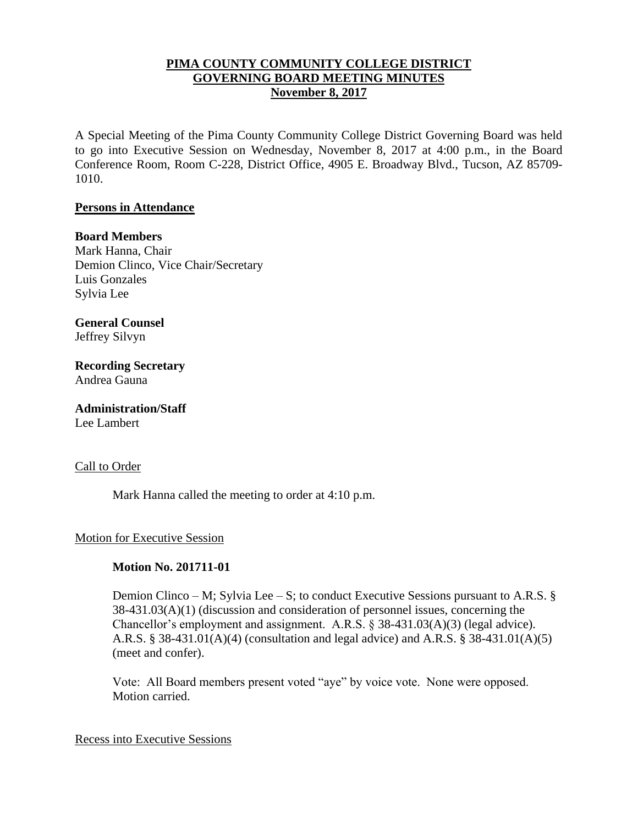## **PIMA COUNTY COMMUNITY COLLEGE DISTRICT GOVERNING BOARD MEETING MINUTES November 8, 2017**

A Special Meeting of the Pima County Community College District Governing Board was held to go into Executive Session on Wednesday, November 8, 2017 at 4:00 p.m., in the Board Conference Room, Room C-228, District Office, 4905 E. Broadway Blvd., Tucson, AZ 85709- 1010.

### **Persons in Attendance**

### **Board Members**

Mark Hanna, Chair Demion Clinco, Vice Chair/Secretary Luis Gonzales Sylvia Lee

**General Counsel**  Jeffrey Silvyn

**Recording Secretary** Andrea Gauna

**Administration/Staff** Lee Lambert

### Call to Order

Mark Hanna called the meeting to order at 4:10 p.m.

### Motion for Executive Session

## **Motion No. 201711-01**

Demion Clinco – M; Sylvia Lee – S; to conduct Executive Sessions pursuant to A.R.S.  $\S$ 38-431.03(A)(1) (discussion and consideration of personnel issues, concerning the Chancellor's employment and assignment. A.R.S. § 38-431.03(A)(3) (legal advice). A.R.S. § 38-431.01(A)(4) (consultation and legal advice) and A.R.S. § 38-431.01(A)(5) (meet and confer).

Vote: All Board members present voted "aye" by voice vote. None were opposed. Motion carried.

#### Recess into Executive Sessions